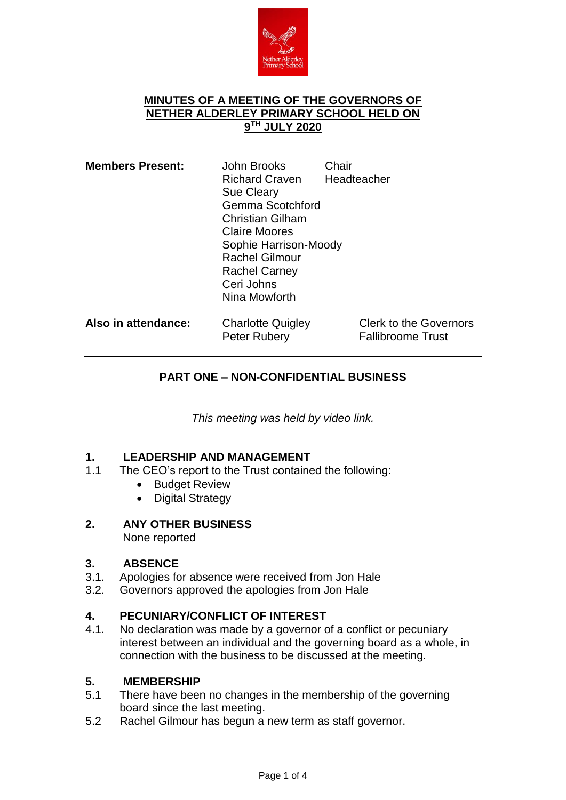

#### **MINUTES OF A MEETING OF THE GOVERNORS OF NETHER ALDERLEY PRIMARY SCHOOL HELD ON 9 TH JULY 2020**

| <b>Members Present:</b> | John Brooks<br><b>Richard Craven</b><br><b>Sue Cleary</b><br>Gemma Scotchford<br><b>Christian Gilham</b><br><b>Claire Moores</b><br>Sophie Harrison-Moody<br><b>Rachel Gilmour</b><br><b>Rachel Carney</b><br>Ceri Johns<br>Nina Mowforth | Chair | Headteacher                                               |
|-------------------------|-------------------------------------------------------------------------------------------------------------------------------------------------------------------------------------------------------------------------------------------|-------|-----------------------------------------------------------|
| Also in attendance:     | <b>Charlotte Quigley</b><br>Peter Rubery                                                                                                                                                                                                  |       | <b>Clerk to the Governors</b><br><b>Fallibroome Trust</b> |

## **PART ONE – NON-CONFIDENTIAL BUSINESS**

*This meeting was held by video link.*

## **1. LEADERSHIP AND MANAGEMENT**

- 1.1 The CEO's report to the Trust contained the following:
	- Budget Review
	- Digital Strategy
- **2. ANY OTHER BUSINESS** None reported

# **3. ABSENCE**

- Apologies for absence were received from Jon Hale
- 3.2. Governors approved the apologies from Jon Hale

### **4. PECUNIARY/CONFLICT OF INTEREST**

4.1. No declaration was made by a governor of a conflict or pecuniary interest between an individual and the governing board as a whole, in connection with the business to be discussed at the meeting.

### **5. MEMBERSHIP**

- 5.1 There have been no changes in the membership of the governing board since the last meeting.
- 5.2 Rachel Gilmour has begun a new term as staff governor.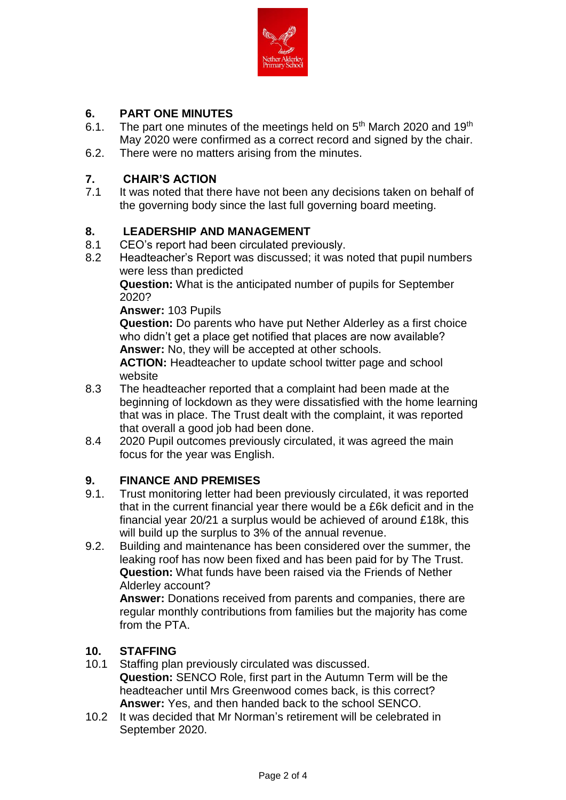

## **6. PART ONE MINUTES**

- 6.1. The part one minutes of the meetings held on  $5<sup>th</sup>$  March 2020 and 19<sup>th</sup> May 2020 were confirmed as a correct record and signed by the chair.
- 6.2. There were no matters arising from the minutes.

## **7. CHAIR'S ACTION**

It was noted that there have not been any decisions taken on behalf of the governing body since the last full governing board meeting.

## **8. LEADERSHIP AND MANAGEMENT**<br>8.1 CEO's report had been circulated prev

- CEO's report had been circulated previously.
- 8.2 Headteacher's Report was discussed; it was noted that pupil numbers were less than predicted

**Question:** What is the anticipated number of pupils for September 2020?

**Answer:** 103 Pupils

**Question:** Do parents who have put Nether Alderley as a first choice who didn't get a place get notified that places are now available? **Answer:** No, they will be accepted at other schools.

**ACTION:** Headteacher to update school twitter page and school website

- 8.3 The headteacher reported that a complaint had been made at the beginning of lockdown as they were dissatisfied with the home learning that was in place. The Trust dealt with the complaint, it was reported that overall a good job had been done.
- 8.4 2020 Pupil outcomes previously circulated, it was agreed the main focus for the year was English.

## **9. FINANCE AND PREMISES**

- 9.1. Trust monitoring letter had been previously circulated, it was reported that in the current financial year there would be a £6k deficit and in the financial year 20/21 a surplus would be achieved of around £18k, this will build up the surplus to 3% of the annual revenue.
- 9.2. Building and maintenance has been considered over the summer, the leaking roof has now been fixed and has been paid for by The Trust. **Question:** What funds have been raised via the Friends of Nether Alderley account?

**Answer:** Donations received from parents and companies, there are regular monthly contributions from families but the majority has come from the PTA.

### **10. STAFFING**

- 10.1 Staffing plan previously circulated was discussed. **Question:** SENCO Role, first part in the Autumn Term will be the headteacher until Mrs Greenwood comes back, is this correct? **Answer:** Yes, and then handed back to the school SENCO.
- 10.2 It was decided that Mr Norman's retirement will be celebrated in September 2020.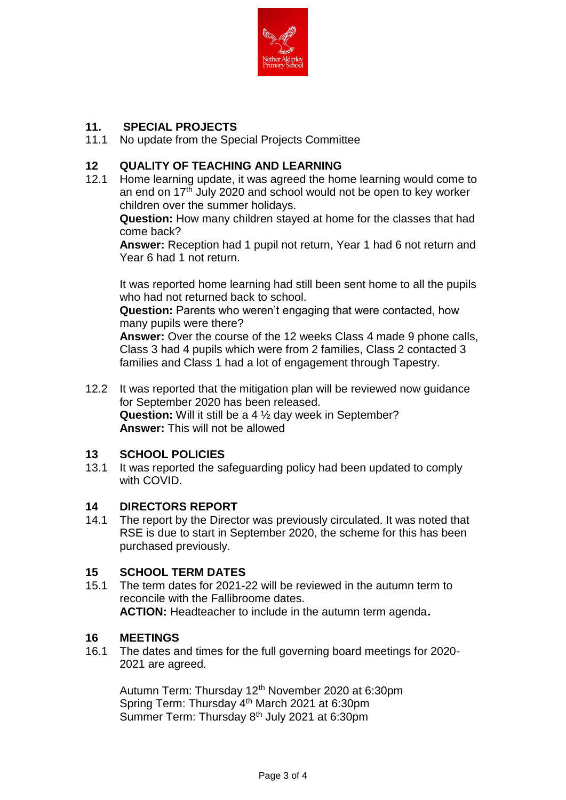

## **11. SPECIAL PROJECTS**

11.1 No update from the Special Projects Committee

## **12 QUALITY OF TEACHING AND LEARNING**

12.1 Home learning update, it was agreed the home learning would come to an end on 17<sup>th</sup> July 2020 and school would not be open to key worker children over the summer holidays.

**Question:** How many children stayed at home for the classes that had come back?

**Answer:** Reception had 1 pupil not return, Year 1 had 6 not return and Year 6 had 1 not return.

It was reported home learning had still been sent home to all the pupils who had not returned back to school.

**Question:** Parents who weren't engaging that were contacted, how many pupils were there?

**Answer:** Over the course of the 12 weeks Class 4 made 9 phone calls, Class 3 had 4 pupils which were from 2 families, Class 2 contacted 3 families and Class 1 had a lot of engagement through Tapestry.

12.2 It was reported that the mitigation plan will be reviewed now guidance for September 2020 has been released. **Question:** Will it still be a 4 ½ day week in September? **Answer:** This will not be allowed

### **13 SCHOOL POLICIES**

13.1 It was reported the safeguarding policy had been updated to comply with COVID.

### **14 DIRECTORS REPORT**

14.1 The report by the Director was previously circulated. It was noted that RSE is due to start in September 2020, the scheme for this has been purchased previously.

### **15 SCHOOL TERM DATES**

15.1 The term dates for 2021-22 will be reviewed in the autumn term to reconcile with the Fallibroome dates. **ACTION:** Headteacher to include in the autumn term agenda**.**

### **16 MEETINGS**

16.1 The dates and times for the full governing board meetings for 2020- 2021 are agreed.

Autumn Term: Thursday 12<sup>th</sup> November 2020 at 6:30pm Spring Term: Thursday 4th March 2021 at 6:30pm Summer Term: Thursday 8<sup>th</sup> July 2021 at 6:30pm